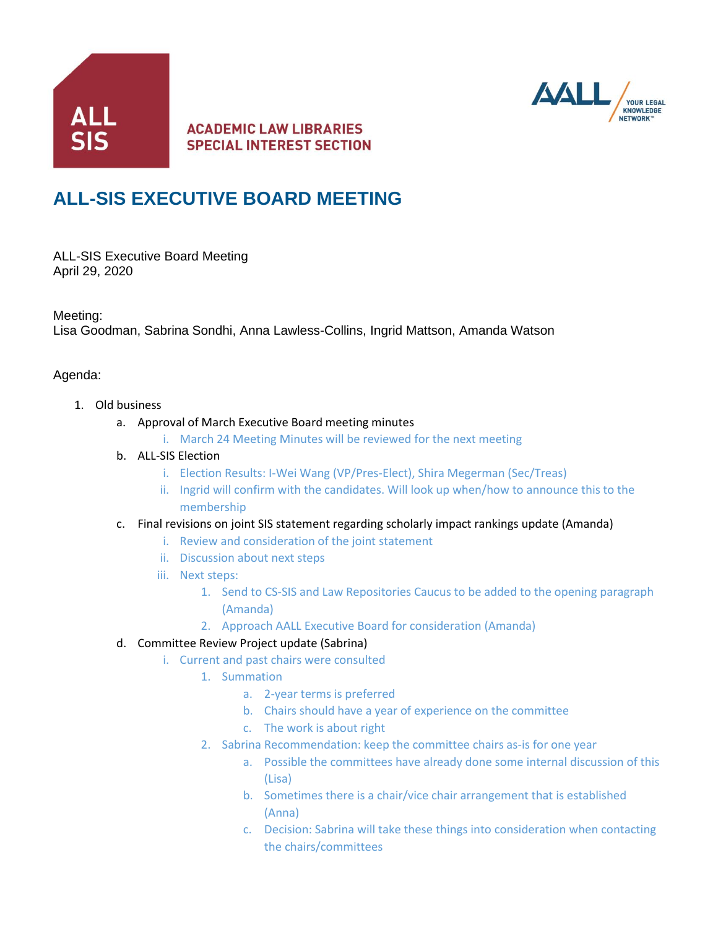

# **ACADEMIC LAW LIBRARIES SPECIAL INTEREST SECTION**



# **ALL-SIS EXECUTIVE BOARD MEETING**

ALL-SIS Executive Board Meeting April 29, 2020

Meeting:

Lisa Goodman, Sabrina Sondhi, Anna Lawless-Collins, Ingrid Mattson, Amanda Watson

#### Agenda:

- 1. Old business
	- a. Approval of March Executive Board meeting minutes
		- i. March 24 Meeting Minutes will be reviewed for the next meeting
	- b. ALL-SIS Election
		- i. Election Results: I-Wei Wang (VP/Pres-Elect), Shira Megerman (Sec/Treas)
		- ii. Ingrid will confirm with the candidates. Will look up when/how to announce this to the membership
	- c. Final revisions on joint SIS statement regarding scholarly impact rankings update (Amanda)
		- i. Review and consideration of the joint statement
		- ii. Discussion about next steps
		- iii. Next steps:
			- 1. Send to CS-SIS and Law Repositories Caucus to be added to the opening paragraph (Amanda)
			- 2. Approach AALL Executive Board for consideration (Amanda)
	- d. Committee Review Project update (Sabrina)
		- i. Current and past chairs were consulted
			- 1. Summation
				- a. 2-year terms is preferred
					- b. Chairs should have a year of experience on the committee
					- c. The work is about right
			- 2. Sabrina Recommendation: keep the committee chairs as-is for one year
				- a. Possible the committees have already done some internal discussion of this (Lisa)
				- b. Sometimes there is a chair/vice chair arrangement that is established (Anna)
				- c. Decision: Sabrina will take these things into consideration when contacting the chairs/committees